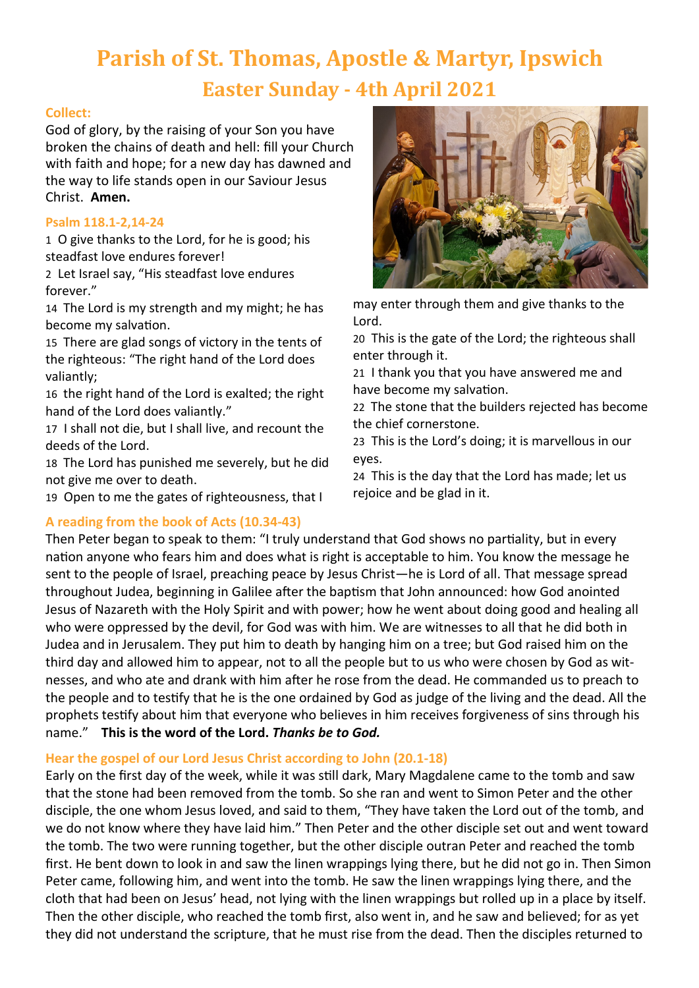# **Parish of St. Thomas, Apostle & Martyr, Ipswich Easter Sunday - 4th April 2021**

## **Collect:**

God of glory, by the raising of your Son you have broken the chains of death and hell: fill your Church with faith and hope; for a new day has dawned and the way to life stands open in our Saviour Jesus Christ. **Amen.**

## **Psalm 118.1-2,14-24**

1 O give thanks to the Lord, for he is good; his steadfast love endures forever!

2 Let Israel say, "His steadfast love endures forever."

14 The Lord is my strength and my might; he has become my salvation.

15 There are glad songs of victory in the tents of the righteous: "The right hand of the Lord does valiantly;

16 the right hand of the Lord is exalted; the right hand of the Lord does valiantly."

17 I shall not die, but I shall live, and recount the deeds of the Lord.

18 The Lord has punished me severely, but he did not give me over to death.

19 Open to me the gates of righteousness, that I

**A reading from the book of Acts (10.34-43)**



may enter through them and give thanks to the Lord.

20 This is the gate of the Lord; the righteous shall enter through it.

21 I thank you that you have answered me and have become my salvation.

22 The stone that the builders rejected has become the chief cornerstone.

23 This is the Lord's doing; it is marvellous in our eyes.

24 This is the day that the Lord has made; let us rejoice and be glad in it.

Then Peter began to speak to them: "I truly understand that God shows no partiality, but in every nation anyone who fears him and does what is right is acceptable to him. You know the message he sent to the people of Israel, preaching peace by Jesus Christ—he is Lord of all. That message spread throughout Judea, beginning in Galilee after the baptism that John announced: how God anointed Jesus of Nazareth with the Holy Spirit and with power; how he went about doing good and healing all who were oppressed by the devil, for God was with him. We are witnesses to all that he did both in Judea and in Jerusalem. They put him to death by hanging him on a tree; but God raised him on the third day and allowed him to appear, not to all the people but to us who were chosen by God as witnesses, and who ate and drank with him after he rose from the dead. He commanded us to preach to the people and to testify that he is the one ordained by God as judge of the living and the dead. All the prophets testify about him that everyone who believes in him receives forgiveness of sins through his name." **This is the word of the Lord.** *Thanks be to God.*

# **Hear the gospel of our Lord Jesus Christ according to John (20.1-18)**

Early on the first day of the week, while it was still dark, Mary Magdalene came to the tomb and saw that the stone had been removed from the tomb. So she ran and went to Simon Peter and the other disciple, the one whom Jesus loved, and said to them, "They have taken the Lord out of the tomb, and we do not know where they have laid him." Then Peter and the other disciple set out and went toward the tomb. The two were running together, but the other disciple outran Peter and reached the tomb first. He bent down to look in and saw the linen wrappings lying there, but he did not go in. Then Simon Peter came, following him, and went into the tomb. He saw the linen wrappings lying there, and the cloth that had been on Jesus' head, not lying with the linen wrappings but rolled up in a place by itself. Then the other disciple, who reached the tomb first, also went in, and he saw and believed; for as yet they did not understand the scripture, that he must rise from the dead. Then the disciples returned to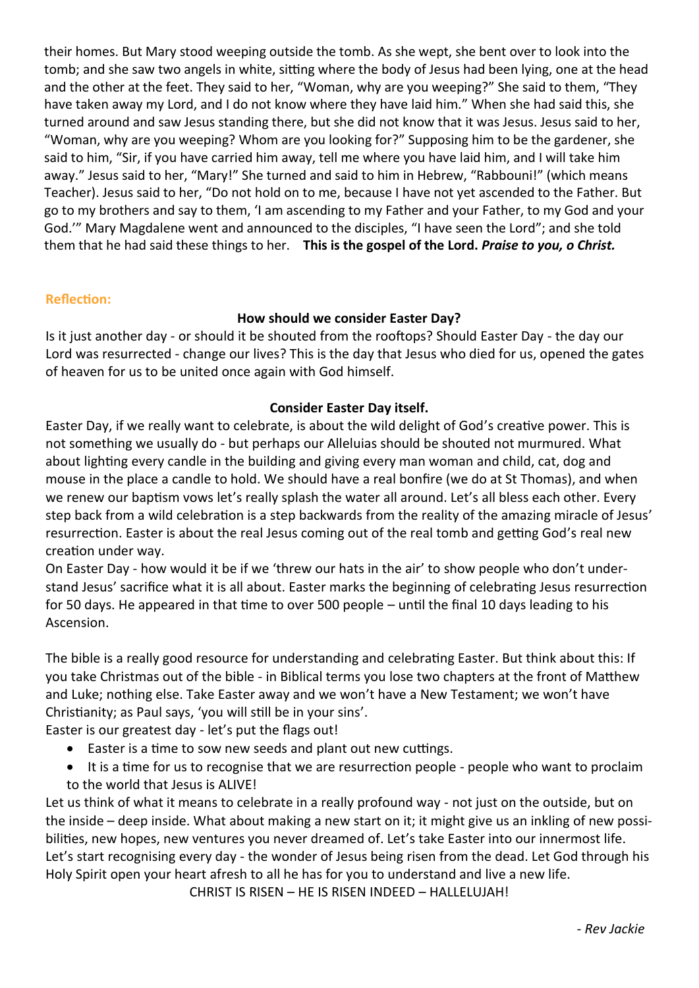their homes. But Mary stood weeping outside the tomb. As she wept, she bent over to look into the tomb; and she saw two angels in white, sitting where the body of Jesus had been lying, one at the head and the other at the feet. They said to her, "Woman, why are you weeping?" She said to them, "They have taken away my Lord, and I do not know where they have laid him." When she had said this, she turned around and saw Jesus standing there, but she did not know that it was Jesus. Jesus said to her, "Woman, why are you weeping? Whom are you looking for?" Supposing him to be the gardener, she said to him, "Sir, if you have carried him away, tell me where you have laid him, and I will take him away." Jesus said to her, "Mary!" She turned and said to him in Hebrew, "Rabbouni!" (which means Teacher). Jesus said to her, "Do not hold on to me, because I have not yet ascended to the Father. But go to my brothers and say to them, 'I am ascending to my Father and your Father, to my God and your God.'" Mary Magdalene went and announced to the disciples, "I have seen the Lord"; and she told them that he had said these things to her. **This is the gospel of the Lord.** *Praise to you, o Christ.*

# **Reflection:**

# **How should we consider Easter Day?**

Is it just another day - or should it be shouted from the rooftops? Should Easter Day - the day our Lord was resurrected - change our lives? This is the day that Jesus who died for us, opened the gates of heaven for us to be united once again with God himself.

# **Consider Easter Day itself.**

Easter Day, if we really want to celebrate, is about the wild delight of God's creative power. This is not something we usually do - but perhaps our Alleluias should be shouted not murmured. What about lighting every candle in the building and giving every man woman and child, cat, dog and mouse in the place a candle to hold. We should have a real bonfire (we do at St Thomas), and when we renew our baptism vows let's really splash the water all around. Let's all bless each other. Every step back from a wild celebration is a step backwards from the reality of the amazing miracle of Jesus' resurrection. Easter is about the real Jesus coming out of the real tomb and getting God's real new creation under way.

On Easter Day - how would it be if we 'threw our hats in the air' to show people who don't understand Jesus' sacrifice what it is all about. Easter marks the beginning of celebrating Jesus resurrection for 50 days. He appeared in that time to over 500 people – until the final 10 days leading to his Ascension.

The bible is a really good resource for understanding and celebrating Easter. But think about this: If you take Christmas out of the bible - in Biblical terms you lose two chapters at the front of Matthew and Luke; nothing else. Take Easter away and we won't have a New Testament; we won't have Christianity; as Paul says, 'you will still be in your sins'.

Easter is our greatest day - let's put the flags out!

- Easter is a time to sow new seeds and plant out new cuttings.
- It is a time for us to recognise that we are resurrection people people who want to proclaim to the world that Jesus is ALIVE!

Let us think of what it means to celebrate in a really profound way - not just on the outside, but on the inside – deep inside. What about making a new start on it; it might give us an inkling of new possibilities, new hopes, new ventures you never dreamed of. Let's take Easter into our innermost life. Let's start recognising every day - the wonder of Jesus being risen from the dead. Let God through his Holy Spirit open your heart afresh to all he has for you to understand and live a new life.

CHRIST IS RISEN – HE IS RISEN INDEED – HALLELUJAH!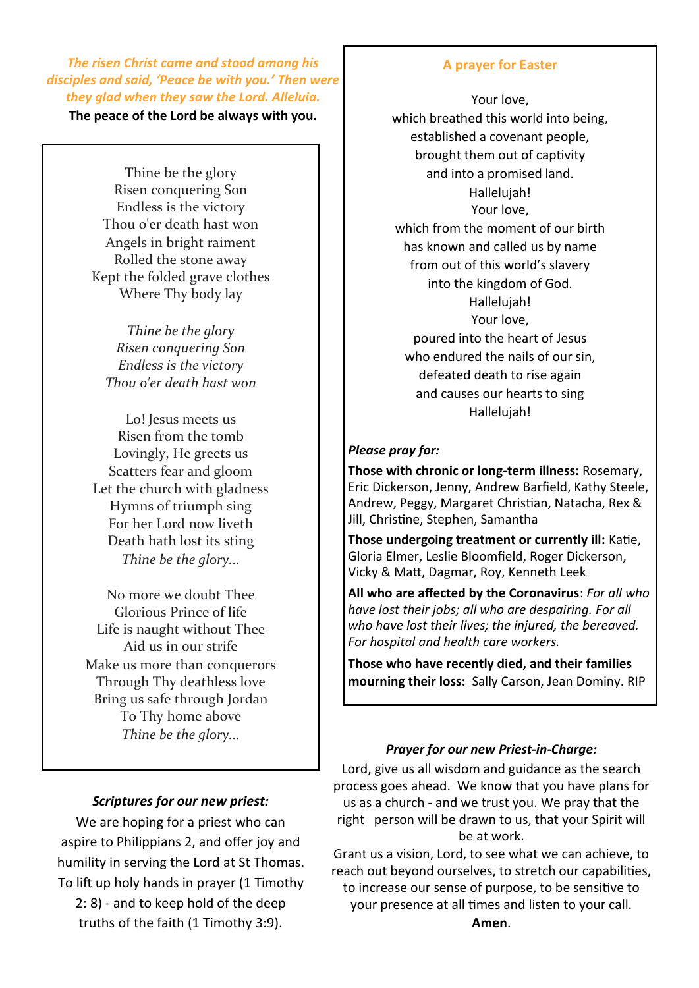#### *The risen Christ came and stood among his disciples and said, 'Peace be with you.' Then were they glad when they saw the Lord. Alleluia.*

#### **The peace of the Lord be always with you.**

Thine be the glory Risen conquering Son Endless is the victory Thou o'er death hast won Angels in bright raiment Rolled the stone away Kept the folded grave clothes Where Thy body lay

*Thine be the glory Risen conquering Son Endless is the victory Thou o'er death hast won*

Lo! Jesus meets us Risen from the tomb Lovingly, He greets us Scatters fear and gloom Let the church with gladness Hymns of triumph sing For her Lord now liveth Death hath lost its sting *Thine be the glory...*

No more we doubt Thee Glorious Prince of life Life is naught without Thee Aid us in our strife Make us more than conquerors Through Thy deathless love Bring us safe through Jordan To Thy home above *Thine be the glory...*

#### **A prayer for Easter**

Your love, which breathed this world into being, established a covenant people, brought them out of captivity and into a promised land. Hallelujah! Your love, which from the moment of our birth has known and called us by name from out of this world's slavery into the kingdom of God. Hallelujah! Your love, poured into the heart of Jesus who endured the nails of our sin, defeated death to rise again and causes our hearts to sing Hallelujah!

#### *Please pray for:*

**Those with chronic or long-term illness:** Rosemary, Eric Dickerson, Jenny, Andrew Barfield, Kathy Steele, Andrew, Peggy, Margaret Christian, Natacha, Rex & Jill, Christine, Stephen, Samantha

**Those undergoing treatment or currently ill:** Katie, Gloria Elmer, Leslie Bloomfield, Roger Dickerson, Vicky & Matt, Dagmar, Roy, Kenneth Leek

**All who are affected by the Coronavirus**: *For all who have lost their jobs; all who are despairing. For all who have lost their lives; the injured, the bereaved. For hospital and health care workers.*

**Those who have recently died, and their families mourning their loss:** Sally Carson, Jean Dominy. RIP

#### *Prayer for our new Priest-in-Charge:*

Lord, give us all wisdom and guidance as the search process goes ahead. We know that you have plans for us as a church - and we trust you. We pray that the right person will be drawn to us, that your Spirit will be at work.

Grant us a vision, Lord, to see what we can achieve, to reach out beyond ourselves, to stretch our capabilities, to increase our sense of purpose, to be sensitive to your presence at all times and listen to your call.

#### *Scriptures for our new priest:*

We are hoping for a priest who can aspire to Philippians 2, and offer joy and humility in serving the Lord at St Thomas. To lift up holy hands in prayer (1 Timothy 2: 8) - and to keep hold of the deep truths of the faith (1 Timothy 3:9).